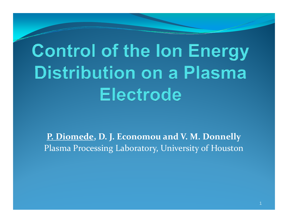# **Control of the lon Energy Distribution on a Plasma Electrode**

**P. Diomede, D. J. Economou and V. M. Donnelly** Plasma Processing Laboratory, University of Houston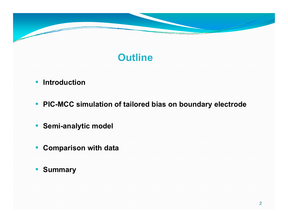

# **Outline**

#### • **Introduction**

- **PIC-MCC simulation of tailored bias on boundary electrode**
- **Semi-analytic model analytic**
- **Comparison with data**
- **Summary**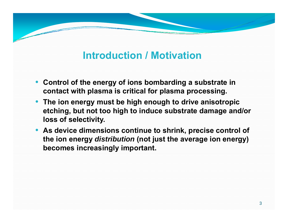# **Introduction / Motivation**

- **Control of the energy of ions bombarding a substrate in contact with plasma is critical for plasma processing.**
- **The ion energy must be high enough to drive anisotropic etching, but not too high to induce substrate damage and/or loss of selectivity.**
- **As device dimensions continue to shrink, precise control of the ion energy** *distribution* **(not just the average ion energy) becomes increasingly important.**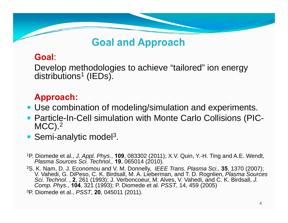# **Goal and Approach Approach**

### **Goal**:

Develop methodologies to achieve "tailored" ion energy distributions<sup>1</sup> (IEDs).

### **Approach:**

- Use combination of modeling/simulation and experiments.
- Particle-In-Cell simulation with Monte Carlo Collisions (PIC- $MCC$ )<sup>2</sup>
- Semi-analytic model<sup>3</sup>.
- 1P. Diomede et al., *J. Appl. Phys*., **109**, 083302 (2011); X.V. Quin, Y.-H. Ting and A.E. Wendt, *Plasma Sources Sci. Technol.,* **19**, 065014 (2010).
- 2S. K. Nam, D. J. Economou and V. M. Donnelly, *IEEE Trans. Plasma Sci.*, **35**, 1370 (2007); V. Vahedi, G. DiPeso, C. K. Birdsall, M. A. Lieberman, and T. D. Rognlien, *Plasma Sources Sci. Technol.* , 2, 261 (1993); J. Verboncoeur, M. Alves, V. Vahedi, and C. K. Birdsall, *J. Comp. Phys*., **104**, 321 (1993); P. Diomede et al. *PSST*, 14, 459 (2005) 3P. Diomede et al., *PSST*, **20**, 045011 (2011).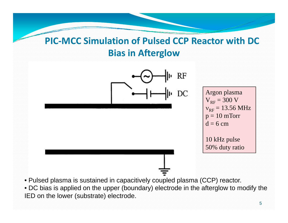# **PIC‐MCC Simulation of Pulsed CCP Reactor with DC Bias in Afterglow**



• DC bias is applied on the upper (boundary) electrode in the afterglow to modify the IED on the lower (substrate) electrode.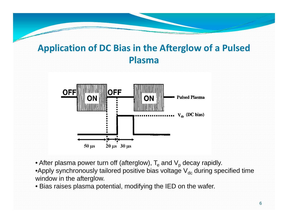# **Application of DC Bias in the Afterglow of <sup>a</sup> Pulsed Plasma**



 $\bullet$  After plasma power turn off (afterglow),  ${\sf T}_{\rm e}$  and  ${\sf V}_{\rm p}$  decay rapidly.

•Apply synchronously tailored positive bias voltage  $\mathsf{V}_{\mathsf{dc}}$  during specified time window in the afterglow.

• Bias raises plasma potential, modifying the IED on the wafer.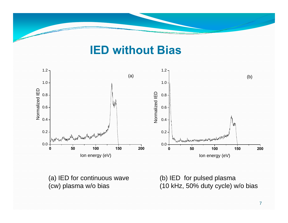# **IED without Bias**



(a) IED for continuous wave (b) IED for pulsed plasma (cw) plasma w/o bias

(b) IED for pulsed plasma (10 kHz, 50% duty cycle) w/o bias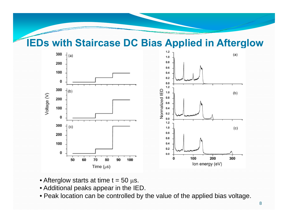### **IEDs with Staircase DC Bias Applied in Afterglow Afterglow**



- $\bullet$  Afterglow starts at time t = 50  $\rm \mu s.$
- Additional peaks appear in the IED.
- Peak location can be controlled by the value of the applied bias voltage.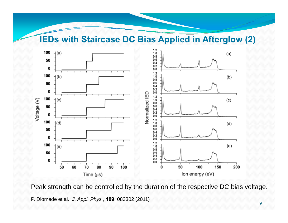**IEDs with Staircase DC Bias Applied in Afterglow (2)**



Peak strength can be controlled by the duration of the respective DC bias voltage. P. Diomede et al., *J. Appl. Phys.*, **109**, 083302 (2011)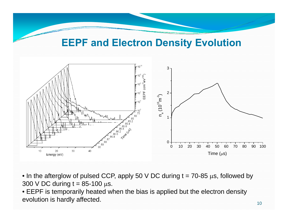### **EEPF and Electron Density Evolution**



- $\bullet$  In the afterglow of pulsed CCP, apply 50 V DC during t = 70-85  $\mu$ s, followed by  $300$  V DC during t = 85-100  $\mu$ s.
- EEPF is temporarily heated when the bias is applied but the electron density evolution is hardly affected.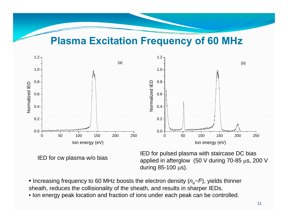### **Plasma Excitation Frequency of 60 MHz Frequency of 60**



IED for cw plasma w/o bias

IED for pulsed plasma with staircase DC bias applied in afterglow (50 V during 70-85 μs, 200 V during 85-100 μs).

- $\bullet$  Increasing frequency to 60 MHz boosts the electron density ( $n_{e}$ ~*f*º), yields thinner sheath, reduces the collisionality of the sheath, and results in sharper IEDs.
- Ion energy peak location and fraction of ions under each peak can be controlled.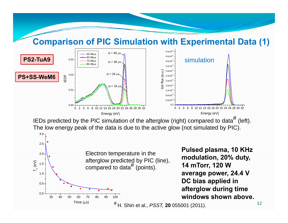#### **Comparison of PIC Simulation with Experimental Data (1)**



IEDs predicted by the PIC simulation of the afterglow (right) compared to data $^{\#}$  (left). The low energy peak of the data is due to the active glow (not simulated by PIC).

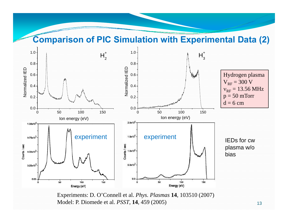#### **Comparison of PIC Simulation with Experimental Data (2)**



Experiments: D. O'Connell et al. *Phys. Plasmas* **14**, 103510 (2007) Model: P. Diomede et al. *PSST*, **14**, 459 (2005)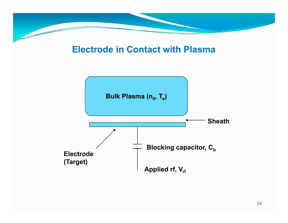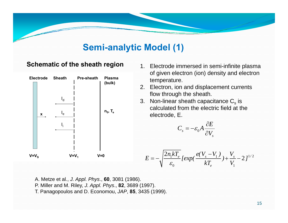### **Semi-analytic Model (1)**



- plasma of given electron (ion) density and electron temperature.
- 2. Electron, ion and displacement currents flow throu
- 3. Non-linear sheath capacitance  $\mathsf{C}_\mathrm{s}$  is calculated from the electric field at the electrode, E.

$$
C_s = -\varepsilon_0 A \frac{\partial E}{\partial V_s}
$$

$$
E = -\sqrt{\frac{2n_1kT_e}{\varepsilon_0}} \left[ exp(\frac{e(V_s - V_1)}{kT_e}) + \frac{V_s}{V_1} - 2 \right]^{1/2}
$$

- A. Metze et al., *J. Appl. Ph ys*., **60**, 3081 (1986). ,*pp y* ,, ()
- P. Miller and M. Riley, *J. Appl. Phys*., **82**, 3689 (1997).
- T. Panagopoulos and D. Economou, *JAP*, **85**, 3435 (1999).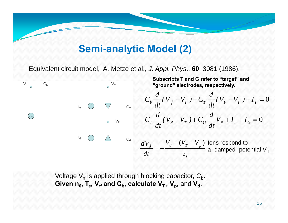### **Semi-analytic Model (2)**

Equivalent circuit model, A. Metze et al., *J. Appl. Phys*., **60**, 3081 (1986).



Voltage  $\mathsf{V}_{\sf rf}$  is applied through blocking capacitor,  $\mathsf{C}_{\sf b}$ .  $\bf{G}$ iven  $\bf{n}_0$ ,  $\bf{T_e}$ ,  $\bf{V_{rf}}$  and  $\bf{C_b}$ , calculate  $\bf{V_{T}}$  ,  $\bf{V_{p}}$ , and  $\bf{V_{d}}$ .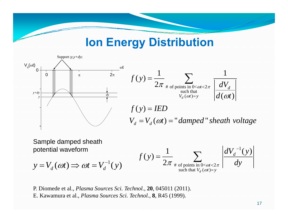# **Ion Energy Distribution**



$$
\int_{\frac{dy}{dx}}^{\frac{2\pi}{2\pi}} f(y) = \frac{1}{2\pi} \sum_{\substack{\text{# of points in } 0 < \omega t < 2\pi \\ y_d(\omega t) = y}} \frac{1}{\left|\frac{dV_d}{d(\omega t)}\right|}
$$
\n
$$
f(y) = IED
$$
\n
$$
V_d = V_d(\omega t) = "damped" sheath voltage
$$

Sample damped sheath potential waveform

$$
y = V_d(\omega t) \Longrightarrow \omega t = V_d^{-1}(y)
$$
  $f(y) =$ 

$$
f(y) = \frac{1}{2\pi} \sum_{\substack{\text{# of points in } 0 < \omega t < 2\pi \\ \text{such that } V_d(\omega t) = y}} \left| \frac{dV_d^{-1}(y)}{dy} \right|
$$

P. Diomede et al., *Plasma Sources Sci. Technol.,* **20**, 045011 (2011). E. Kawamura et al., *Plasma Sources Sci. Technol.*, **8**, R45 (1999).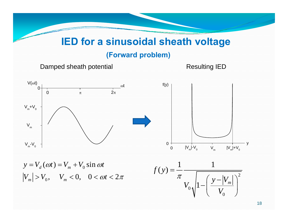### **IED for <sup>a</sup> sinusoidal sheath voltage**

#### **(Forward problem)**

Damped sheath potential Resultin

g IED g



0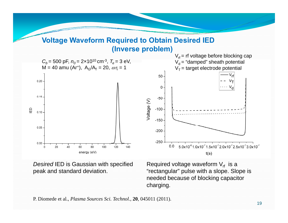#### **Voltage Waveform Required to Obtain Desired IED Voltage (Inverse problem)**



*Desired* IED is Gaussian with specified peak and standard deviation.

Required voltage waveform  $\mathsf{V}_{\mathsf{rf}}$  is a "rectangular" pulse with a slope. Slope is needed because of blocking capacitor charging.

P. Diomede et al., *Plasma Sources Sci. Technol.,* **20**, 045011 (2011).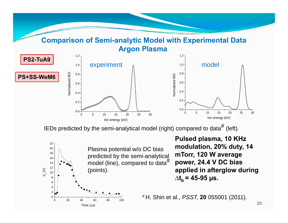#### **Comparison of Semi-analytic Model with Experimental Data Semi-analytic Argon Plasma**



IEDs predicted by the semi-analytical model (right) compared to data $^{\#}$  (left).



**PS2-TuA9**

**Pulsed plasma, 10 KHz modulation, 20% duty, 14 mTorr 120 W average mTorr, power, 24.4 V DC bias applied in afterglow during ∆tb = 45-95 µs. bµ**

# H. Shin et al., *PSST,* **20** 055001 (2011).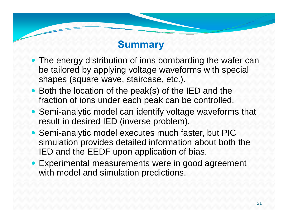## **Summary**

- The energy distribution of ions bombarding the wafer can be tailored by applying voltage waveforms with special shapes (square wave, staircase, etc.).
- Both the location of the peak(s) of the IED and the fraction of ions under each peak can be controlled.
- Semi-analytic model can identify voltage waveforms that result in desired IED (inverse problem).
- Semi-analytic model executes much faster, but PIC simulation provides detailed information about both the IED and the  $\mathsf{EEDF}$  upon application of bias.
- Experimental measurements were in good agreement with model and simulation predictions.